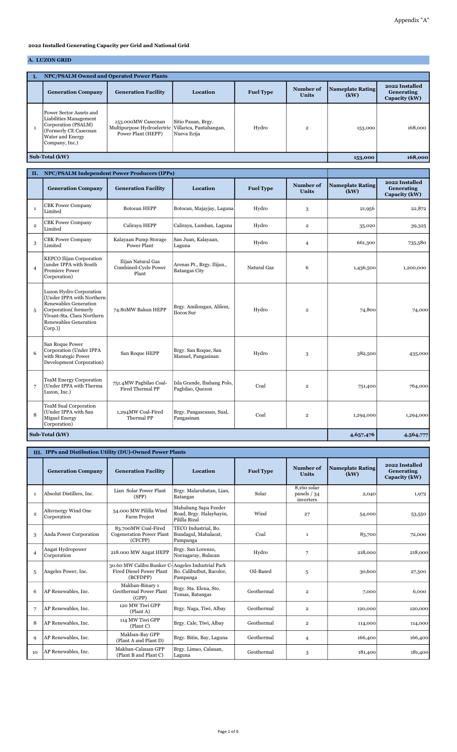## 2022 Installed Generating Capacity per Grid and National Grid

## A. LUZON GRID

| <b>NPC/PSALM Owned and Operated Power Plants</b>                                                                                        |                                                                                                |                                   |                  |                           |                                 |                                               |  |  |  |
|-----------------------------------------------------------------------------------------------------------------------------------------|------------------------------------------------------------------------------------------------|-----------------------------------|------------------|---------------------------|---------------------------------|-----------------------------------------------|--|--|--|
| <b>Generation Company</b>                                                                                                               | <b>Generation Facility</b>                                                                     | Location                          | <b>Fuel Type</b> | Number of<br><b>Units</b> | <b>Nameplate Rating</b><br>(kW) | 2022 Installed<br>Generating<br>Capacity (kW) |  |  |  |
| Power Sector Assets and<br>Liabilities Management<br>Corporation (PSALM)<br>(Formerly CE Casecnan<br>Water and Energy<br>Company, Inc.) | 153.000MW Casecnan<br>Multipurpose Hydroelectric Villarica, Pantabangan,<br>Power Plant (HEPP) | Sitio Pauan, Brgy.<br>Nueva Ecija | Hydro            | $\mathbf{2}$              | 153,000                         | 168,000                                       |  |  |  |
| Sub-Total (kW)                                                                                                                          | 153,000                                                                                        | 168,000                           |                  |                           |                                 |                                               |  |  |  |

|                | NPC/PSALM Independent Power Producers (IPPs)<br>II.                                                                                                                     |                                                     |                                                    |                  |                           |                                 |                                               |
|----------------|-------------------------------------------------------------------------------------------------------------------------------------------------------------------------|-----------------------------------------------------|----------------------------------------------------|------------------|---------------------------|---------------------------------|-----------------------------------------------|
|                | <b>Generation Company</b>                                                                                                                                               | <b>Generation Facility</b>                          | Location                                           | <b>Fuel Type</b> | Number of<br><b>Units</b> | <b>Nameplate Rating</b><br>(kW) | 2022 Installed<br>Generating<br>Capacity (kW) |
| $\mathbf{1}$   | <b>CBK Power Company</b><br>Limited                                                                                                                                     | <b>Botocan HEPP</b>                                 | Botocan, Majayjay, Laguna                          | Hydro            | 3                         | 21,956                          | 22,872                                        |
| $\overline{2}$ | <b>CBK Power Company</b><br>Limited                                                                                                                                     | Caliraya HEPP                                       | Caliraya, Lumban, Laguna                           | Hydro            | $\overline{\mathbf{2}}$   | 35,020                          | 39,325                                        |
| 3              | <b>CBK Power Company</b><br>Limited                                                                                                                                     | Kalayaan Pump Storage<br><b>Power Plant</b>         | San Juan, Kalayaan,<br>Laguna                      | Hydro            | $\overline{4}$            | 661,300                         | 735,580                                       |
| $\overline{4}$ | KEPCO Ilijan Corporation<br>(under IPPA with South<br><b>Premiere Power</b><br>Corporation)                                                                             | Ilijan Natural Gas<br>Combined-Cycle Power<br>Plant | Arenas Pt., Brgy. Ilijan.,<br><b>Batangas City</b> | Natural Gas      | 6                         | 1,436,500                       | 1,200,000                                     |
| 5              | Luzon Hydro Corporation<br>[Under IPPA with Northern<br>Renewables Generation<br>Corporation(formerly<br>Vivant-Sta. Clara Northern<br>Renewables Generation<br>Corp.)] | 74.80MW Bakun HEPP                                  | Brgy. Amilongan, Alilem,<br>Ilocos Sur             | Hydro            | $\overline{\mathbf{2}}$   | 74,800                          | 74,000                                        |
| 6              | San Roque Power<br>Corporation (Under IPPA<br>with Strategic Power<br>Development Corporation)                                                                          | San Roque HEPP                                      | Brgy. San Roque, San<br>Manuel, Pangasinan         | Hydro            | 3                         | 382,500                         | 435,000                                       |
| 7              | <b>TeaM Energy Corporation</b><br>(Under IPPA with Therma<br>Luzon, Inc.)                                                                                               | 751.4MW Pagbilao Coal-<br>Fired Thermal PP          | Isla Grande, Ibabang Polo,<br>Pagbilao, Quezon     | Coal             | $\overline{\mathbf{2}}$   | 751,400                         | 764,000                                       |
| 8              | TeaM Sual Corporation<br>(Under IPPA with San<br><b>Miguel Energy</b><br>Corporation)                                                                                   | 1,294MW Coal-Fired<br>Thermal PP                    | Brgy. Pangascasan, Sual,<br>Pangasinan             | Coal             | $\overline{2}$            | 1,294,000                       | 1,294,000                                     |
|                | Sub-Total (kW)                                                                                                                                                          |                                                     |                                                    |                  |                           | 4,657,476                       | 4,564,777                                     |

|                | III. IPPs and Distibution Utility (DU)-Owned Power Plants |                                                                   |                                                                  |                  |                                          |                                 |                                               |  |  |  |
|----------------|-----------------------------------------------------------|-------------------------------------------------------------------|------------------------------------------------------------------|------------------|------------------------------------------|---------------------------------|-----------------------------------------------|--|--|--|
|                | <b>Generation Company</b>                                 | <b>Generation Facility</b>                                        | Location                                                         | <b>Fuel Type</b> | Number of<br><b>Units</b>                | <b>Nameplate Rating</b><br>(kW) | 2022 Installed<br>Generating<br>Capacity (kW) |  |  |  |
| $\mathbf{1}$   | Absolut Distillers, Inc.                                  | Lian Solar Power Plant<br>(SPP)                                   | Brgy, Malaruhatan, Lian,<br><b>Batangas</b>                      | Solar            | 8.160 solar<br>panels $/34$<br>inverters | 2,040                           | 1,972                                         |  |  |  |
| $\overline{2}$ | Alternergy Wind One<br>Corporation                        | 54.000 MW Pililla Wind<br>Farm Project                            | Mahabang Sapa Feeder<br>Road, Brgy. Halayhayin,<br>Pililla Rizal | Wind             | 27                                       | 54,000                          | 53,550                                        |  |  |  |
| 3              | Anda Power Corporation                                    | 83.700MW Coal-Fired<br><b>Cogeneration Power Plant</b><br>(CFCPP) | TECO Industrial, Bo.<br>Bundagul, Mabalacat,<br>Pampanga         | Coal             | $\mathbf{1}$                             | 83,700                          | 72,000                                        |  |  |  |
| $\overline{4}$ | Angat Hydropower<br>Corporation                           | 218.000 MW Angat HEPP                                             | Brgy. San Lorenzo,<br>Norzagaray, Bulacan                        | Hydro            | 7                                        | 218,000                         | 218,000                                       |  |  |  |
| 5              | Angeles Power, Inc.                                       | 30.60 MW Calibu Bunker C-<br>Fired Diesel Power Plant<br>(BCFDPP) | Angeles Industrial Park<br>Bo. Calibutbut, Bacolor,<br>Pampanga  | Oil-Based        | 5                                        | 30,600                          | 27,500                                        |  |  |  |
| 6              | AP Renewables, Inc.                                       | Makban-Binary 1<br>Geothermal Power Plant<br>(GPP)                | Brgy. Sta. Elena, Sto.<br>Tomas, Batangas                        | Geothermal       | $\overline{2}$                           | 7,000                           | 6,000                                         |  |  |  |
| 7              | AP Renewables, Inc.                                       | 120 MW Tiwi GPP<br>(Plant A)                                      | Brgy. Naga, Tiwi, Albay                                          | Geothermal       | $\overline{\mathbf{2}}$                  | 120,000                         | 120,000                                       |  |  |  |
| 8              | AP Renewables, Inc.                                       | 114 MW Tiwi GPP<br>(Plant C)                                      | Brgy. Cale, Tiwi, Albay                                          | Geothermal       | 2                                        | 114,000                         | 114,000                                       |  |  |  |
| 9              | AP Renewables, Inc.                                       | Makban-Bay GPP<br>(Plant A and Plant D)                           | Brgy. Bitin, Bay, Laguna                                         | Geothermal       | $\overline{4}$                           | 166,400                         | 166,400                                       |  |  |  |
| 10             | AP Renewables, Inc.                                       | Makban-Calauan GPP<br>(Plant B and Plant C)                       | Brgy. Limao, Calauan,<br>Laguna                                  | Geothermal       | 3                                        | 181,400                         | 181,400                                       |  |  |  |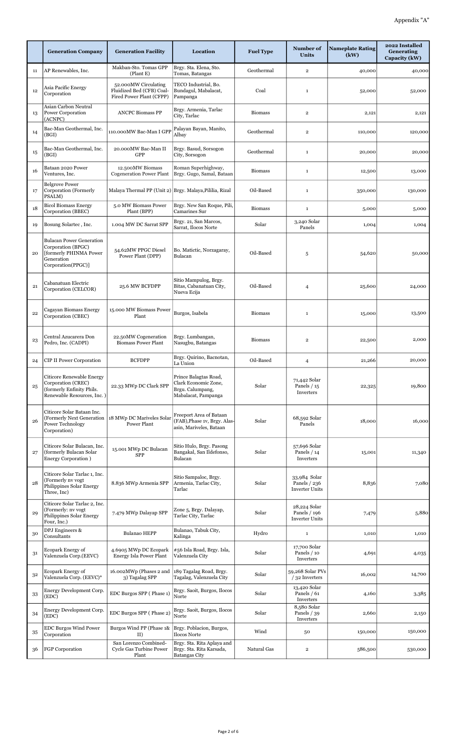|    | <b>Generation Company</b>                                                                                           | <b>Generation Facility</b>                                                    | Location                                                                                 | <b>Fuel Type</b> | Number of<br><b>Units</b>                             | <b>Nameplate Rating</b><br>(kW) | 2022 Installed<br>Generating<br>Capacity (kW) |
|----|---------------------------------------------------------------------------------------------------------------------|-------------------------------------------------------------------------------|------------------------------------------------------------------------------------------|------------------|-------------------------------------------------------|---------------------------------|-----------------------------------------------|
| 11 | AP Renewables, Inc.                                                                                                 | Makban-Sto. Tomas GPP<br>(Plant E)                                            | Brgy. Sta. Elena, Sto.<br>Tomas, Batangas                                                | Geothermal       | $\overline{2}$                                        | 40,000                          | 40,000                                        |
| 12 | Asia Pacific Energy<br>Corporation                                                                                  | 52.000MW Circulating<br>Fluidized Bed (CFB) Coal-<br>Fired Power Plant (CFPP) | TECO Industrial, Bo.<br>Bundagul, Mabalacat,<br>Pampanga                                 | Coal             | $\mathbf{1}$                                          | 52,000                          | 52,000                                        |
| 13 | Asian Carbon Neutral<br>Power Corporation<br>(ACNPC)                                                                | <b>ANCPC Biomass PP</b>                                                       | Brgy. Armenia, Tarlac<br>City, Tarlac                                                    | <b>Biomass</b>   | $\overline{\mathbf{2}}$                               | 2,121                           | 2,121                                         |
| 14 | Bac-Man Geothermal, Inc.<br>(BGI)                                                                                   | 110.000MW Bac-Man I GPP                                                       | Palayan Bayan, Manito,<br>Albay                                                          | Geothermal       | $\overline{2}$                                        | 110,000                         | 120,000                                       |
| 15 | Bac-Man Geothermal, Inc.<br>(BGI)                                                                                   | 20.000MW Bac-Man II<br>GPP                                                    | Brgy. Basud, Sorsogon<br>City, Sorsogon                                                  | Geothermal       | $\mathbf{1}$                                          | 20,000                          | 20,000                                        |
| 16 | Bataan 2020 Power<br>Ventures, Inc.                                                                                 | 12.500MW Biomass<br><b>Cogeneration Power Plant</b>                           | Roman Superhighway,<br>Brgy. Gugo, Samal, Bataan                                         | <b>Biomass</b>   | $\mathbf{1}$                                          | 12,500                          | 13,000                                        |
| 17 | <b>Belgrove Power</b><br>Corporation (Formerly<br>PSALM)                                                            | Malaya Thermal PP (Unit 2) Brgy, Malaya, Pililia, Rizal                       |                                                                                          | Oil-Based        | $\mathbf{1}$                                          | 350,000                         | 130,000                                       |
| 18 | <b>Bicol Biomass Energy</b><br>Corporation (BBEC)                                                                   | 5.0 MW Biomass Power<br>Plant (BPP)                                           | Brgy. New San Roque, Pili,<br>Camarines Sur                                              | <b>Biomass</b>   | $\mathbf{1}$                                          | 5,000                           | 5,000                                         |
| 19 | Bosung Solartec, Inc.                                                                                               | 1.004 MW DC Sarrat SPP                                                        | Brgy. 21, San Marcos,<br>Sarrat, Ilocos Norte                                            | Solar            | 3,240 Solar<br>Panels                                 | 1,004                           | 1,004                                         |
| 20 | <b>Bulacan Power Generation</b><br>Corporation (BPGC)<br>[formerly PHINMA Power<br>Generation<br>Corporation(PPGC)] | 54.62MW PPGC Diesel<br>Power Plant (DPP)                                      | Bo. Matictic, Norzagaray,<br>Bulacan                                                     | Oil-Based        | 5                                                     | 54,620                          | 50,000                                        |
| 21 | Cabanatuan Electric<br>Corporation (CELCOR)                                                                         | 25.6 MW BCFDPP                                                                | Sitio Mampulog, Brgy.<br>Bitas, Cabanatuan City,<br>Nueva Ecija                          | Oil-Based        | $\overline{4}$                                        | 25,600                          | 24,000                                        |
| 22 | Cagayan Biomass Energy<br>Corporation (CBEC)                                                                        | 15.000 MW Biomass Power<br>Plant                                              | Burgos, Isabela                                                                          | <b>Biomass</b>   | $\mathbf 1$                                           | 15,000                          | 13,500                                        |
| 23 | Central Azucarera Don<br>Pedro, Inc. (CADPI)                                                                        | 22.50MW Cogeneration<br><b>Biomass Power Plant</b>                            | Brgy. Lumbangan,<br>Nasugbu, Batangas                                                    | <b>Biomass</b>   | $\overline{2}$                                        | 22,500                          | 2,000                                         |
| 24 | <b>CIP II Power Corporation</b>                                                                                     | <b>BCFDPP</b>                                                                 | Brgy. Quirino, Bacnotan,<br>La Union                                                     | Oil-Based        | 4                                                     | 21,266                          | 20,000                                        |
| 25 | Citicore Renewable Energy<br>Corporation (CREC)<br>(formerly Enfinity Phils.<br>Renewable Resources, Inc. )         | 22.33 MWp DC Clark SPP                                                        | Prince Balagtas Road,<br>Clark Economic Zone,<br>Brgu. Calumpang,<br>Mabalacat, Pampanga | Solar            | 71,442 Solar<br>Panels / 15<br>Inverters              | 22,325                          | 19,800                                        |
| 26 | Citicore Solar Bataan Inc.<br>(Formerly Next Generation<br>Power Technology<br>Corporation)                         | 18 MWp DC Mariveles Solar<br>Power Plant                                      | Freeport Area of Bataan<br>(FAB), Phase 1v, Brgy. Alas-<br>asin, Mariveles, Bataan       | Solar            | 68,592 Solar<br>Panels                                | 18,000                          | 16,000                                        |
| 27 | Citicore Solar Bulacan, Inc.<br>(formerly Bulacan Solar<br>Energy Corporation)                                      | 15.001 MWp DC Bulacan<br>SPP                                                  | Sitio Hulo, Brgy. Pasong<br>Bangakal, San Ildefonso,<br>Bulacan                          | Solar            | 57,696 Solar<br>Panels $/ 14$<br>Inverters            | 15,001                          | 11,340                                        |
| 28 | Citicore Solar Tarlac 1, Inc.<br>(Formerly nv vogt<br>Philippines Solar Energy<br>Three, Inc)                       | 8.836 MWp Armenia SPP                                                         | Sitio Sampaloc, Brgy.<br>Armenia, Tarlac City,<br>Tarlac                                 | Solar            | 33,984 Solar<br>Panels / 236<br><b>Inverter Units</b> | 8,836                           | 7,080                                         |
| 29 | Citicore Solar Tarlac 2, Inc.<br>(Formerly: nv vogt<br>Philippines Solar Energy<br>Four, Inc.)                      | 7.479 MWp Dalayap SPP                                                         | Zone 5, Brgy. Dalayap,<br>Tarlac City, Tarlac                                            | Solar            | 28,224 Solar<br>Panels / 196<br><b>Inverter Units</b> | 7,479                           | 5,880                                         |
| 30 | DPJ Engineers &<br>Consultants                                                                                      | <b>Bulanao HEPP</b>                                                           | Bulanao, Tabuk City,<br>Kalinga                                                          | Hydro            | $\mathbf{1}$                                          | 1,010                           | 1,010                                         |
| 31 | Ecopark Energy of<br>Valenzuela Corp.(EEVC)                                                                         | 4.6905 MWp DC Ecopark<br>Energy Isla Power Plant                              | #56 Isla Road, Brgy. Isla,<br>Valenzuela City                                            | Solar            | 17,700 Solar<br>Panels / 10<br>Inverters              | 4,691                           | 4,035                                         |
| 32 | Ecopark Energy of<br>Valenzuela Corp. (EEVC)*                                                                       | 16.002MWp (Phases 2 and<br>3) Tagalag SPP                                     | 189 Tagalag Road, Brgy.<br>Tagalag, Valenzuela City                                      | Solar            | 59,268 Solar PVs<br>$/32$ Inverters                   | 16,002                          | 14,700                                        |
| 33 | Energy Development Corp.<br>(EDC)                                                                                   | EDC Burgos SPP (Phase 1)                                                      | Brgy. Saoit, Burgos, Ilocos<br>Norte                                                     | Solar            | 13,420 Solar<br>Panels $/ 61$<br>Inverters            | 4,160                           | 3,385                                         |
| 34 | Energy Development Corp.<br>(EDC)                                                                                   | EDC Burgos SPP (Phase 2)                                                      | Brgy. Saoit, Burgos, Ilocos<br>Norte                                                     | Solar            | 8,580 Solar<br>Panels $/39$<br>Inverters              | 2,660                           | 2,150                                         |
| 35 | <b>EDC Burgos Wind Power</b><br>Corporation                                                                         | Burgos Wind PP (Phase 1&<br>II)                                               | Brgy. Poblacion, Burgos,<br>Ilocos Norte                                                 | Wind             | 50                                                    | 150,000                         | 150,000                                       |
| 36 | FGP Corporation                                                                                                     | San Lorenzo Combined-<br>Cycle Gas Turbine Power<br>Plant                     | Brgy. Sta. Rita Aplaya and<br>Brgy. Sta. Rita Karsada,<br><b>Batangas City</b>           | Natural Gas      | $\overline{2}$                                        | 586,500                         | 530,000                                       |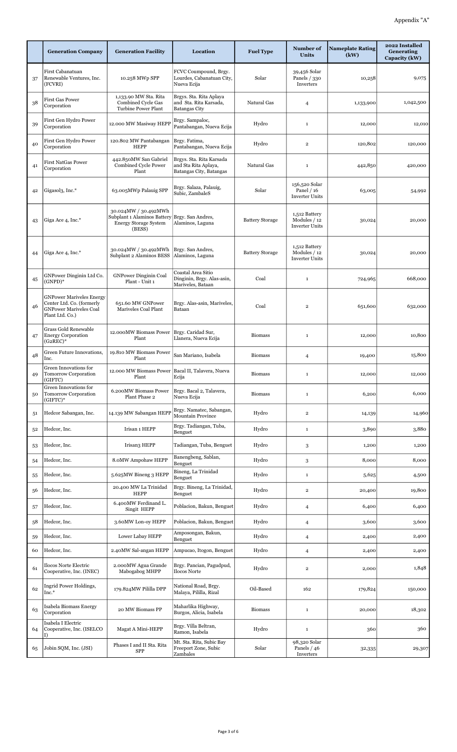|    | <b>Generation Company</b>                                                                                        | <b>Generation Facility</b>                                                                    | Location                                                                    | <b>Fuel Type</b>       | Number of<br><b>Units</b>                              | <b>Nameplate Rating</b><br>(kW) | 2022 Installed<br>Generating<br>Capacity (kW) |
|----|------------------------------------------------------------------------------------------------------------------|-----------------------------------------------------------------------------------------------|-----------------------------------------------------------------------------|------------------------|--------------------------------------------------------|---------------------------------|-----------------------------------------------|
| 37 | First Cabanatuan<br>Renewable Ventures, Inc.<br>(FCVRI)                                                          | 10.258 MWp SPP                                                                                | FCVC Coumpound, Brgy.<br>Lourdes, Cabanatuan City,<br>Nueva Ecija           | Solar                  | 39,456 Solar<br>Panels / 330<br>Inverters              | 10,258                          | 9,075                                         |
| 38 | <b>First Gas Power</b><br>Corporation                                                                            | 1,133.90 MW Sta. Rita<br>Combined Cycle Gas<br>Turbine Power Plant                            | Brgys. Sta. Rita Aplaya<br>and Sta. Rita Karsada,<br><b>Batangas City</b>   | Natural Gas            | 4                                                      | 1,133,900                       | 1,042,500                                     |
| 39 | First Gen Hydro Power<br>Corporation                                                                             | 12.000 MW Masiway HEPP                                                                        | Brgy. Sampaloc,<br>Pantabangan, Nueva Ecija                                 | Hydro                  | $\mathbf{1}$                                           | 12,000                          | 12,010                                        |
| 40 | First Gen Hydro Power<br>Corporation                                                                             | 120.802 MW Pantabangan<br><b>HEPP</b>                                                         | Brgy. Fatima,<br>Pantabangan, Nueva Ecija                                   | Hydro                  | $\overline{2}$                                         | 120,802                         | 120,000                                       |
| 41 | <b>First NatGas Power</b><br>Corporation                                                                         | 442.850MW San Gabriel<br><b>Combined Cycle Power</b><br>Plant                                 | Brgys. Sta. Rita Karsada<br>and Sta Rita Aplaya,<br>Batangas City, Batangas | Natural Gas            | $\mathbf 1$                                            | 442,850                         | 420,000                                       |
| 42 | Gigasol3, Inc.*                                                                                                  | 63.005MWp Palauig SPP                                                                         | Brgy. Salaza, Palauig,<br>Subic, ZambaleS                                   | Solar                  | 156,520 Solar<br>Panel / 16<br><b>Inverter Units</b>   | 63,005                          | 54,992                                        |
| 43 | Giga Ace 4, Inc.*                                                                                                | 30.024MW / 30.492MWh<br>Subplant 1 Alaminos Battery<br><b>Energy Storage System</b><br>(BESS) | Brgy. San Andres,<br>Alaminos, Laguna                                       | <b>Battery Storage</b> | 1,512 Battery<br>Modules / 12<br><b>Inverter Units</b> | 30,024                          | 20,000                                        |
| 44 | Giga Ace 4, Inc.*                                                                                                | 30.024MW / 30.492MWh<br>Subplant 2 Alaminos BESS                                              | Brgy. San Andres,<br>Alaminos, Laguna                                       | <b>Battery Storage</b> | 1,512 Battery<br>Modules / 12<br><b>Inverter Units</b> | 30,024                          | 20,000                                        |
| 45 | GNPower Dinginin Ltd Co.<br>$(GNPD)*$                                                                            | <b>GNPower Dinginin Coal</b><br>Plant - Unit 1                                                | Coastal Area Sitio<br>Dinginin, Brgy. Alas-asin,<br>Mariveles, Bataan       | Coal                   | $\mathbf 1$                                            | 724,965                         | 668,000                                       |
| 46 | <b>GNPower Mariveles Energy</b><br>Center Ltd. Co. (formerly<br><b>GNPower Mariveles Coal</b><br>Plant Ltd. Co.) | 651.60 MW GNPower<br>Mariveles Coal Plant                                                     | Brgy. Alas-asin, Mariveles,<br>Bataan                                       | Coal                   | $\overline{\mathbf{2}}$                                | 651,600                         | 632,000                                       |
| 47 | <b>Grass Gold Renewable</b><br><b>Energy Corporation</b><br>$(G2REC)^*$                                          | 12.000MW Biomass Power<br>Plant                                                               | Brgy. Caridad Sur,<br>Llanera, Nueva Ecija                                  | <b>Biomass</b>         | $\mathbf 1$                                            | 12,000                          | 10,800                                        |
| 48 | Green Future Innovations,<br>Inc.                                                                                | 19.810 MW Biomass Power<br>Plant                                                              | San Mariano, Isabela                                                        | <b>Biomass</b>         | 4                                                      | 19,400                          | 15,800                                        |
| 49 | Green Innovations for<br>Tomorrow Corporation<br>(GIFTC)                                                         | 12.000 MW Biomass Power   Bacal II, Talavera, Nueva<br>Plant                                  | Ecija                                                                       | <b>Biomass</b>         | $\mathbf 1$                                            | 12,000                          | 12,000                                        |
| 50 | Green Innovations for<br>Tomorrow Corporation<br>(GIFTC)*                                                        | 6.200MW Biomass Power<br>Plant Phase 2                                                        | Brgy. Bacal 2, Talavera,<br>Nueva Ecija                                     | <b>Biomass</b>         | $\mathbf 1$                                            | 6,200                           | 6,000                                         |
| 51 | Hedcor Sabangan, Inc.                                                                                            | 14.139 MW Sabangan HEPP                                                                       | Brgy, Namatec, Sabangan,<br><b>Mountain Province</b>                        | Hydro                  | $\overline{2}$                                         | 14,139                          | 14,960                                        |
| 52 | Hedcor, Inc.                                                                                                     | Irisan 1 HEPP                                                                                 | Brgy. Tadiangan, Tuba,<br>Benguet                                           | Hydro                  | $\mathbf{1}$                                           | 3,890                           | 3,880                                         |
| 53 | Hedcor, Inc.                                                                                                     | Irisan3 HEPP                                                                                  | Tadiangan, Tuba, Benguet                                                    | Hydro                  | 3                                                      | 1,200                           | 1,200                                         |
| 54 | Hedcor, Inc.                                                                                                     | 8.0MW Ampohaw HEPP                                                                            | Banengbeng, Sablan,<br>Benguet                                              | Hydro                  | 3                                                      | 8,000                           | 8,000                                         |
| 55 | Hedcor, Inc.                                                                                                     | 5.625MW Bineng 3 HEPP                                                                         | Bineng, La Trinidad<br>Benguet                                              | Hydro                  | $\mathbf{1}$                                           | 5,625                           | 4,500                                         |
| 56 | Hedcor, Inc.                                                                                                     | 20.400 MW La Trinidad<br><b>HEPP</b>                                                          | Brgy. Bineng, La Trinidad,<br>Benguet                                       | Hydro                  | $\overline{\mathbf{2}}$                                | 20,400                          | 19,800                                        |
| 57 | Hedcor, Inc.                                                                                                     | 6.400MW Ferdinand L.<br>Singit HEPP                                                           | Poblacion, Bakun, Benguet                                                   | Hydro                  | 4                                                      | 6,400                           | 6,400                                         |
| 58 | Hedcor, Inc.                                                                                                     | 3.60MW Lon-oy HEPP                                                                            | Poblacion, Bakun, Benguet                                                   | Hydro                  | 4                                                      | 3,600                           | 3,600                                         |
| 59 | Hedcor, Inc.                                                                                                     | Lower Labay HEPP                                                                              | Amposongan, Bakun,<br>Benguet                                               | Hydro                  | 4                                                      | 2,400                           | 2,400                                         |
| 60 | Hedcor, Inc.                                                                                                     | 2.40MW Sal-angan HEPP                                                                         | Ampucao, Itogon, Benguet                                                    | Hydro                  | $\overline{4}$                                         | 2,400                           | 2,400                                         |
| 61 | Ilocos Norte Electric<br>Cooperative, Inc. (INEC)                                                                | 2.000MW Agua Grande<br>Mabogabog MHPP                                                         | Brgy. Pancian, Pagudpud,<br>Ilocos Norte                                    | Hydro                  | $\overline{\mathbf{2}}$                                | 2,000                           | 1,848                                         |
| 62 | Ingrid Power Holdings,<br>Inc.*                                                                                  | 179.824MW Pililla DPP                                                                         | National Road, Brgy.<br>Malaya, Pililla, Rizal                              | Oil-Based              | 162                                                    | 179,824                         | 150,000                                       |
| 63 | Isabela Biomass Energy<br>Corporation                                                                            | 20 MW Biomass PP                                                                              | Maharlika Highway,<br>Burgos, Alicia, Isabela                               | <b>Biomass</b>         | $\mathbf{1}$                                           | 20,000                          | 18,302                                        |
| 64 | Isabela I Electric<br>Cooperative, Inc. (ISELCO<br>I)                                                            | Magat A Mini-HEPP                                                                             | Brgy. Villa Beltran,<br>Ramon, Isabela                                      | Hydro                  | $\mathbf 1$                                            | 360                             | 360                                           |
| 65 | Jobin SQM, Inc. (JSI)                                                                                            | Phases I and II Sta. Rita<br><b>SPP</b>                                                       | Mt. Sta. Rita, Subic Bay<br>Freeport Zone, Subic<br>Zambales                | Solar                  | 98,320 Solar<br>Panels $/46$<br>Inverters              | 32,335                          | 29,307                                        |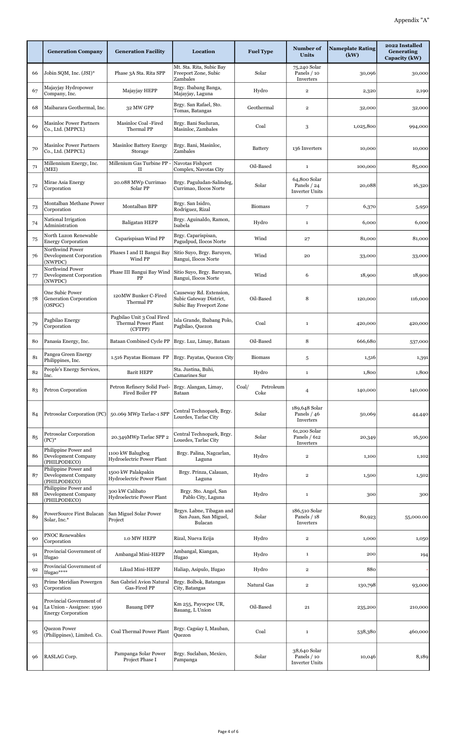|    | <b>Generation Company</b>                                                          | <b>Generation Facility</b>                                   | Location                                                                      | <b>Fuel Type</b>           | Number of<br>Units                                   | <b>Nameplate Rating</b><br>(kW) | 2022 Installed<br><b>Generating</b><br>Capacity (kW) |
|----|------------------------------------------------------------------------------------|--------------------------------------------------------------|-------------------------------------------------------------------------------|----------------------------|------------------------------------------------------|---------------------------------|------------------------------------------------------|
| 66 | Jobin SQM, Inc. (JSI)*                                                             | Phase 3A Sta. Rita SPP                                       | Mt. Sta. Rita, Subic Bay<br>Freeport Zone, Subic<br>Zambales                  | Solar                      | 75,240 Solar<br>Panels / 10<br>Inverters             | 30,096                          | 30,000                                               |
| 67 | Majayjay Hydropower<br>Company, Inc.                                               | Majayjay HEPP                                                | Brgy. Ibabang Banga,<br>Majayjay, Laguna                                      | Hydro                      | $\mathbf 2$                                          | 2,320                           | 2,190                                                |
| 68 | Maibarara Geothermal, Inc.                                                         | 32 MW GPP                                                    | Brgy. San Rafael, Sto.<br>Tomas, Batangas                                     | Geothermal                 | $\mathbf 2$                                          | 32,000                          | 32,000                                               |
| 69 | <b>Masinloc Power Partners</b><br>Co., Ltd. (MPPCL)                                | Masinloc Coal -Fired<br>Thermal PP                           | Brgy. Bani Sucluran,<br>Masinloc, Zambales                                    | Coal                       | 3                                                    | 1,025,800                       | 994,000                                              |
| 70 | <b>Masinloc Power Partners</b><br>Co., Ltd. (MPPCL)                                | <b>Masinloc Battery Energy</b><br>Storage                    | Brgy. Bani, Masinloc,<br>Zambales                                             | <b>Battery</b>             | 136 Inverters                                        | 10,000                          | 10,000                                               |
| 71 | Millennium Energy, Inc.<br>(MEI)                                                   | Millenium Gas Turbine PP<br>$\rm II$                         | Navotas Fishport<br>Complex, Navotas City                                     | Oil-Based                  | $\mathbf{1}$                                         | 100,000                         | 85,000                                               |
| 72 | Mirae Asia Energy<br>Corporation                                                   | 20.088 MWp Currimao<br>Solar PP                              | Brgy. Paguludan-Salindeg,<br>Currimao, Ilocos Norte                           | Solar                      | 64,800 Solar<br>Panels / 24<br><b>Inverter Units</b> | 20,088                          | 16,320                                               |
| 73 | Montalban Methane Power<br>Corporation                                             | Montalban BPP                                                | Brgy. San Isidro,<br>Rodriguez, Rizal                                         | <b>Biomass</b>             | $\overline{7}$                                       | 6,370                           | 5,950                                                |
| 74 | National Irrigation<br>Administration                                              | Baligatan HEPP                                               | Brgy. Aguinaldo, Ramon,<br>Isabela                                            | Hydro                      | $\mathbf{1}$                                         | 6,000                           | 6,000                                                |
| 75 | North Luzon Renewable<br><b>Energy Corporation</b>                                 | Caparispisan Wind PP                                         | Brgy. Caparispisan,<br>Pagudpud, Ilocos Norte                                 | Wind                       | 27                                                   | 81,000                          | 81,000                                               |
| 76 | Northwind Power<br><b>Development Corporation</b><br>(NWPDC)                       | Phases I and II Bangui Bay<br>Wind PP                        | Sitio Suyo, Brgy. Baruyen,<br>Bangui, Ilocos Norte                            | Wind                       | 20                                                   | 33,000                          | 33,000                                               |
| 77 | Northwind Power<br>Development Corporation<br>(NWPDC)                              | Phase III Bangui Bay Wind<br>PP                              | Sitio Suyo, Brgy. Baruyan,<br>Bangui, Ilocos Norte                            | Wind                       | 6                                                    | 18,900                          | 18,900                                               |
| 78 | One Subic Power<br>Generation Corporation<br>(OSPGC)                               | 120MW Bunker C-Fired<br>Thermal PP                           | Causeway Rd. Extension,<br>Subic Gateway District,<br>Subic Bay Freeport Zone | Oil-Based                  | 8                                                    | 120,000                         | 116,000                                              |
| 79 | Pagbilao Energy<br>Corporation                                                     | Pagbilao Unit 3 Coal Fired<br>Thermal Power Plant<br>(CFTPP) | Isla Grande, Ibabang Polo,<br>Pagbilao, Quezon                                | Coal                       | $\mathbf 1$                                          | 420,000                         | 420,000                                              |
| 80 | Panasia Energy, Inc.                                                               | Bataan Combined Cycle PP                                     | Brgy. Luz, Limay, Bataan                                                      | Oil-Based                  | 8                                                    | 666,680                         | 537,000                                              |
| 81 | Pangea Green Energy<br>Philippines, Inc.                                           | 1.516 Payatas Biomass PP                                     | Brgy. Payatas, Quezon City                                                    | <b>Biomass</b>             | 5                                                    | 1,516                           | 1,391                                                |
| 82 | People's Energy Services,<br>Inc.                                                  | <b>Barit HEPP</b>                                            | Sta. Justina. Buhi.<br>Camarines Sur                                          | Hydro                      |                                                      | 1,800                           | 1,800                                                |
| 83 | Petron Corporation                                                                 | Petron Refinery Solid Fuel-<br>Fired Boiler PP               | Brgy. Alangan, Limay,<br>Bataan                                               | Coal/<br>Petroleum<br>Coke | $\overline{4}$                                       | 140,000                         | 140,000                                              |
| 84 | Petrosolar Corporation (PC)                                                        | 50.069 MWp Tarlac-1 SPP                                      | Central Technopark, Brgy.<br>Lourdes, Tarlac City                             | Solar                      | 189,648 Solar<br>Panels / 46<br>Inverters            | 50,069                          | 44,440                                               |
| 85 | Petrosolar Corporation<br>$(PC)^*$                                                 | 20.349MWp Tarlac SPP 2                                       | Central Technopark, Brgy.<br>Louedes, Tarlac City                             | Solar                      | 61,200 Solar<br>Panels / 612<br>Inverters            | 20,349                          | 16,500                                               |
| 86 | Philippine Power and<br>Development Company<br>(PHILPODECO)                        | 1100 kW Balugbog<br>Hydroelectric Power Plant                | Brgy. Palina, Nagcarlan,<br>Laguna                                            | Hydro                      | $\mathbf 2$                                          | 1,100                           | 1,102                                                |
| 87 | Philippine Power and<br>Development Company<br>(PHILPODECO)                        | 1500 kW Palakpakin<br>Hydroelectric Power Plant              | Brgy. Prinza, Calauan,<br>Laguna                                              | Hydro                      | $\mathbf 2$                                          | 1,500                           | 1,502                                                |
| 88 | Philippine Power and<br>Development Company<br>(PHILPODECO)                        | 300 kW Calibato<br>Hydroelectric Power Plant                 | Brgy. Sto. Angel, San<br>Pablo City, Laguna                                   | Hydro                      | $\mathbf{1}$                                         | 300                             | 300                                                  |
| 89 | PowerSource First Bulacan<br>Solar, Inc.*                                          | San Miguel Solar Power<br>Project                            | Brgys. Labne, Tibagan and<br>San Juan, San Miguel,<br>Bulacan                 | Solar                      | 186,510 Solar<br>Panels / 18<br>Inverters            | 80,923                          | 55,000.00                                            |
| 90 | <b>PNOC Renewables</b><br>Corporation                                              | 1.0 MW HEPP                                                  | Rizal, Nueva Ecija                                                            | Hydro                      | $\mathbf 2$                                          | 1,000                           | 1,050                                                |
| 91 | Provincial Government of<br>Ifugao                                                 | Ambangal Mini-HEPP                                           | Ambangal, Kiangan,<br>Ifugao                                                  | Hydro                      | $\mathbf{1}$                                         | 200                             | 194                                                  |
| 92 | Provincial Government of<br>Ifugao****                                             | Likud Mini-HEPP                                              | Haliap, Asipulo, Ifugao                                                       | Hydro                      | $\bf 2$                                              | 880                             |                                                      |
| 93 | Prime Meridian Powergen<br>Corporation                                             | San Gabriel Avion Natural<br>Gas-Fired PP                    | Brgy. Bolbok, Batangas<br>City, Batangas                                      | Natural Gas                | $\mathbf 2$                                          | 130,798                         | 93,000                                               |
| 94 | Provincial Government of<br>La Union - Assignee: 1590<br><b>Energy Corporation</b> | <b>Bauang DPP</b>                                            | Km 255, Payocpoc UR,<br>Bauang, L Union                                       | Oil-Based                  | 21                                                   | 235,200                         | 210,000                                              |
| 95 | Quezon Power<br>(Philippines), Limited. Co.                                        | Coal Thermal Power Plant                                     | Brgy. Cagsiay I, Mauban,<br>Quezon                                            | Coal                       | $\mathbf{1}$                                         | 538,380                         | 460,000                                              |
| 96 | RASLAG Corp.                                                                       | Pampanga Solar Power<br>Project Phase I                      | Brgy. Suclaban, Mexico,<br>Pampanga                                           | Solar                      | 38,640 Solar<br>Panels / 10<br><b>Inverter Units</b> | 10,046                          | 8,189                                                |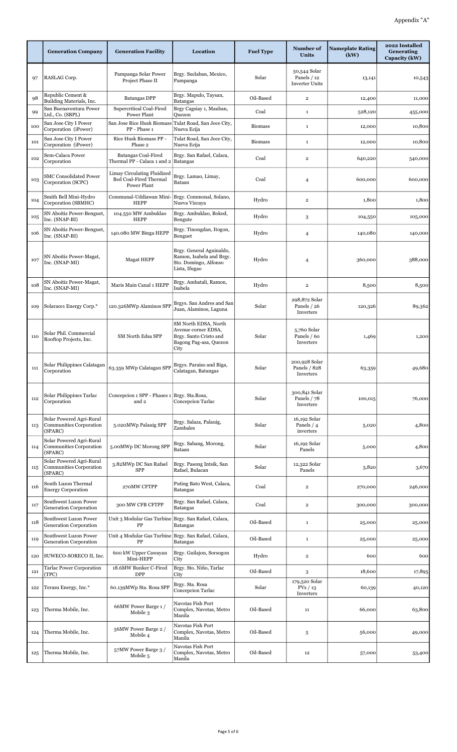|     | <b>Generation Company</b>                                             | <b>Generation Facility</b>                                           | Location                                                                                                | <b>Fuel Type</b> | Number of<br><b>Units</b>                            | <b>Nameplate Rating</b><br>(kW) | 2022 Installed<br>Generating<br>Capacity (kW) |
|-----|-----------------------------------------------------------------------|----------------------------------------------------------------------|---------------------------------------------------------------------------------------------------------|------------------|------------------------------------------------------|---------------------------------|-----------------------------------------------|
| 97  | RASLAG Corp.                                                          | Pampanga Solar Power<br>Project Phase II                             | Brgy. Suclaban, Mexico,<br>Pampanga                                                                     | Solar            | 50,544 Solar<br>Panels / 12<br><b>Inverter Units</b> | 13,141                          | 10,543                                        |
| 98  | Republic Cement &<br>Building Materials, Inc.                         | <b>Batangas DPP</b>                                                  | Brgy. Mapulo, Taysan,<br>Batangas                                                                       | Oil-Based        | $\overline{2}$                                       | 12,400                          | 11,000                                        |
| 99  | San Buenaventura Power<br>Ltd., Co. (SBPL)                            | Supercritical Coal-Fired<br>Power Plant                              | Brgy Cagsiay 1, Mauban,<br>Quezon                                                                       | Coal             | $\mathbf 1$                                          | 528,120                         | 455,000                                       |
| 100 | San Jose City I Power<br>Corporation (iPower)                         | San Jose Rice Husk Biomass<br>PP - Phase 1                           | Tulat Road, San Joce City,<br>Nueva Ecija                                                               | <b>Biomass</b>   | $\mathbf 1$                                          | 12,000                          | 10,800                                        |
| 101 | San Jose City I Power<br>Corporation (iPower)                         | Rice Husk Biomass PP -<br>Phase 2                                    | Tulat Road, San Joce City,<br>Nueva Ecija                                                               | <b>Biomass</b>   | $\mathbf{1}$                                         | 12,000                          | 10,800                                        |
| 102 | Sem-Calaca Power<br>Corporation                                       | <b>Batangas Coal-Fired</b><br>Thermal PP - Calaca 1 and 2            | Brgy. San Rafael, Calaca,<br>Batangas                                                                   | Coal             | $\overline{\mathbf{2}}$                              | 640,220                         | 540,000                                       |
| 103 | <b>SMC Consolidated Power</b><br>Corporation (SCPC)                   | Limay Circulating Fluidized<br>Bed Coal-Fired Thermal<br>Power Plant | Brgy. Lamao, Limay,<br>Bataan                                                                           | Coal             | 4                                                    | 600,000                         | 600,000                                       |
| 104 | Smith Bell Mini-Hydro<br>Corporation (SBMHC)                          | Communal-Uddiawan Mini-<br><b>HEPP</b>                               | Brgy. Commonal, Solano,<br>Nueva Vizcaya                                                                | Hydro            | $\overline{\mathbf{2}}$                              | 1,800                           | 1,800                                         |
| 105 | SN Aboitiz Power-Benguet,<br>Inc. (SNAP-BI)                           | 104.550 MW Ambuklao<br><b>HEPP</b>                                   | Brgy. Ambuklao, Bokod,<br>Bengute                                                                       | Hydro            | 3                                                    | 104,550                         | 105,000                                       |
| 106 | SN Aboitiz Power-Benguet,<br>Inc. (SNAP-BI)                           | 140.080 MW Binga HEPP                                                | Brgy. Tinongdan, Itogon,<br>Benguet                                                                     | Hydro            | 4                                                    | 140,080                         | 140,000                                       |
| 107 | SN Aboitiz Power-Magat,<br>Inc. (SNAP-MI)                             | <b>Magat HEPP</b>                                                    | Brgy. General Aguinaldo,<br>Ramon, Isabela and Brgy.<br>Sto. Domingo, Alfonso<br>Lista, Ifugao          | Hydro            | 4                                                    | 360,000                         | 388,000                                       |
| 108 | SN Aboitiz Power-Magat,<br>Inc. (SNAP-MI)                             | Maris Main Canal 1 HEPP                                              | Brgy. Ambatali, Ramon,<br>Isabela                                                                       | Hydro            | $\overline{\mathbf{2}}$                              | 8,500                           | 8,500                                         |
| 109 | Solarace1 Energy Corp.*                                               | 120.326MWp Alaminos SPP                                              | Brgys. San Andres and San<br>Juan, Alaminos, Laguna                                                     | Solar            | 298,872 Solar<br>Panels / 26<br>Inverters            | 120,326                         | 89,362                                        |
| 110 | Solar Phil. Commercial<br>Rooftop Projects, Inc.                      | SM North Edsa SPP                                                    | SM North EDSA, North<br>Avenue corner EDSA,<br>Brgy. Santo Cristo and<br>Bagong Pag-asa, Quezon<br>City | Solar            | 5,760 Solar<br>Panels / 60<br>Inverters              | 1,469                           | 1,200                                         |
| 111 | Solar Philippines Calatagan<br>Corporation                            | 63.359 MWp Calatagan SPF                                             | Brgys. Paraiso and Biga,<br>Calatagan, Batangas                                                         | Solar            | 200,928 Solar<br>Panels / 828<br>Inverters           | 63,359                          | 49,680                                        |
| 112 | Solar Philippines Tarlac<br>Corporation                               | Concepcion 1 SPP - Phases 1<br>and 2                                 | Brgy. Sta.Rosa,<br>Concepcion Tarlac                                                                    | Solar            | 300,841 Solar<br>Panels / 78<br>Inverters            | 100,015                         | 76,000                                        |
| 113 | Solar Powered Agri-Rural<br>Communities Corporation<br>(SPARC)        | 5.020MWp Palauig SPP                                                 | Brgy, Salaza, Palauig,<br>Zambales                                                                      | Solar            | 16,192 Solar<br>Panels / 4<br>inverters              | 5,020                           | 4,800                                         |
| 114 | Solar Powered Agri-Rural<br><b>Communities Corporation</b><br>(SPARC) | 5.00MWp DC Morong SPP                                                | Brgy. Sabang, Morong,<br>Bataan                                                                         | Solar            | 16,192 Solar<br>Panels                               | 5,000                           | 4,800                                         |
| 115 | Solar Powered Agri-Rural<br>Communities Corporation<br>(SPARC)        | 3.82MWp DC San Rafael<br><b>SPP</b>                                  | Brgy. Pasong Intsik, San<br>Rafael, Bulacan                                                             | Solar            | 12,322 Solar<br>Panels                               | 3,820                           | 3,670                                         |
| 116 | South Luzon Thermal<br><b>Energy Corporation</b>                      | 270MW CFTPP                                                          | Puting Bato West, Calaca,<br>Batangas                                                                   | Coal             | $\overline{\mathbf{2}}$                              | 270,000                         | 246,000                                       |
| 117 | Southwest Luzon Power<br>Generation Corporation                       | 300 MW CFB CFTPP                                                     | Brgy. San Rafael, Calaca,<br><b>Batangas</b>                                                            | Coal             | $\overline{2}$                                       | 300,000                         | 300,000                                       |
| 118 | Southwest Luzon Power<br>Generation Corporation                       | Unit 3 Modular Gas Turbine<br>PP                                     | Brgy. San Rafael, Calaca,<br><b>Batangas</b>                                                            | Oil-Based        | $\mathbf{1}$                                         | 25,000                          | 25,000                                        |
| 119 | Southwest Luzon Power<br><b>Generation Corporation</b>                | Unit 4 Modular Gas Turbine Brgy. San Rafael, Calaca,<br>PP           | <b>Batangas</b>                                                                                         | Oil-Based        | $\mathbf 1$                                          | 25,000                          | 25,000                                        |
| 120 | SUWECO-SORECO II, Inc.                                                | 600 kW Upper Cawayan<br>Mini-HEPP                                    | Brgy. Guilajon, Sorsogon<br>City                                                                        | Hydro            | $\overline{\mathbf{2}}$                              | 600                             | 600                                           |
| 121 | <b>Tarlac Power Corporation</b><br>(TPC)                              | 18.6MW Bunker C-Fired<br><b>DPP</b>                                  | Brgy. Sto. Niño, Tarlac<br>City                                                                         | Oil-Based        | 3                                                    | 18,600                          | 17,895                                        |
| 122 | Terasu Energy, Inc.*                                                  | 60.139MWp Sta. Rosa SPP                                              | Brgy. Sta. Rosa<br>Concepcion Tarlac                                                                    | Solar            | 179,520 Solar<br>PVs / 13<br>Inverters               | 60,139                          | 40,120                                        |
| 123 | Therma Mobile, Inc.                                                   | 66MW Power Barge 1 /<br>Mobile 3                                     | Navotas Fish Port<br>Complex, Navotas, Metro<br>Manila                                                  | Oil-Based        | 11                                                   | 66,000                          | 63,800                                        |
| 124 | Therma Mobile, Inc.                                                   | 56MW Power Barge 2 /<br>Mobile 4                                     | Navotas Fish Port<br>Complex, Navotas, Metro<br>Manila                                                  | Oil-Based        | 5                                                    | 56,000                          | 49,000                                        |
| 125 | Therma Mobile, Inc.                                                   | 57MW Power Barge 3 /<br>Mobile 5                                     | Navotas Fish Port<br>Complex, Navotas, Metro<br>Manila                                                  | Oil-Based        | 12                                                   | 57,000                          | 53,400                                        |